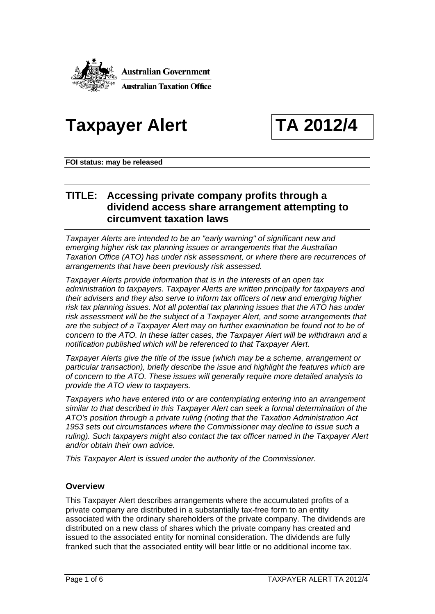

# Taxpayer Alert TA 2012/4

**FOI status: may be released** 

## **TITLE: Accessing private company profits through a dividend access share arrangement attempting to circumvent taxation laws**

*Taxpayer Alerts are intended to be an "early warning" of significant new and emerging higher risk tax planning issues or arrangements that the Australian Taxation Office (ATO) has under risk assessment, or where there are recurrences of arrangements that have been previously risk assessed.* 

*Taxpayer Alerts provide information that is in the interests of an open tax administration to taxpayers. Taxpayer Alerts are written principally for taxpayers and their advisers and they also serve to inform tax officers of new and emerging higher risk tax planning issues. Not all potential tax planning issues that the ATO has under risk assessment will be the subject of a Taxpayer Alert, and some arrangements that are the subject of a Taxpayer Alert may on further examination be found not to be of concern to the ATO. In these latter cases, the Taxpayer Alert will be withdrawn and a notification published which will be referenced to that Taxpayer Alert.* 

*Taxpayer Alerts give the title of the issue (which may be a scheme, arrangement or particular transaction), briefly describe the issue and highlight the features which are of concern to the ATO. These issues will generally require more detailed analysis to provide the ATO view to taxpayers.* 

*Taxpayers who have entered into or are contemplating entering into an arrangement similar to that described in this Taxpayer Alert can seek a formal determination of the ATO's position through a private ruling (noting that the Taxation Administration Act 1953 sets out circumstances where the Commissioner may decline to issue such a ruling). Such taxpayers might also contact the tax officer named in the Taxpayer Alert and/or obtain their own advice.* 

*This Taxpayer Alert is issued under the authority of the Commissioner.* 

### **Overview**

This Taxpayer Alert describes arrangements where the accumulated profits of a private company are distributed in a substantially tax-free form to an entity associated with the ordinary shareholders of the private company. The dividends are distributed on a new class of shares which the private company has created and issued to the associated entity for nominal consideration. The dividends are fully franked such that the associated entity will bear little or no additional income tax.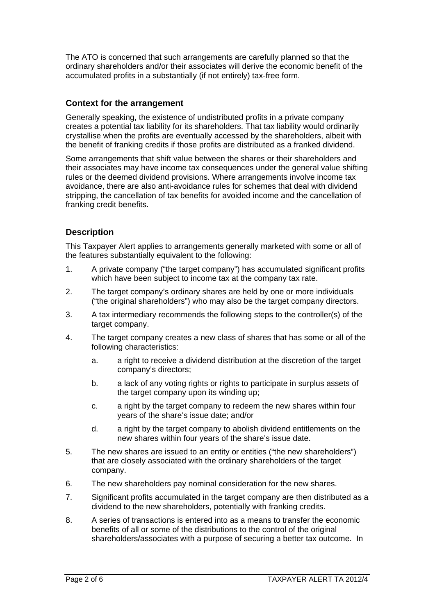The ATO is concerned that such arrangements are carefully planned so that the ordinary shareholders and/or their associates will derive the economic benefit of the accumulated profits in a substantially (if not entirely) tax-free form.

#### **Context for the arrangement**

Generally speaking, the existence of undistributed profits in a private company creates a potential tax liability for its shareholders. That tax liability would ordinarily crystallise when the profits are eventually accessed by the shareholders, albeit with the benefit of franking credits if those profits are distributed as a franked dividend.

Some arrangements that shift value between the shares or their shareholders and their associates may have income tax consequences under the general value shifting rules or the deemed dividend provisions. Where arrangements involve income tax avoidance, there are also anti-avoidance rules for schemes that deal with dividend stripping, the cancellation of tax benefits for avoided income and the cancellation of franking credit benefits.

### **Description**

This Taxpayer Alert applies to arrangements generally marketed with some or all of the features substantially equivalent to the following:

- 1. A private company ("the target company") has accumulated significant profits which have been subject to income tax at the company tax rate.
- 2. The target company's ordinary shares are held by one or more individuals ("the original shareholders") who may also be the target company directors.
- 3. A tax intermediary recommends the following steps to the controller(s) of the target company.
- 4. The target company creates a new class of shares that has some or all of the following characteristics:
	- a. a right to receive a dividend distribution at the discretion of the target company's directors;
	- b. a lack of any voting rights or rights to participate in surplus assets of the target company upon its winding up;
	- c. a right by the target company to redeem the new shares within four years of the share's issue date; and/or
	- d. a right by the target company to abolish dividend entitlements on the new shares within four years of the share's issue date.
- 5. The new shares are issued to an entity or entities ("the new shareholders") that are closely associated with the ordinary shareholders of the target company.
- 6. The new shareholders pay nominal consideration for the new shares.
- 7. Significant profits accumulated in the target company are then distributed as a dividend to the new shareholders, potentially with franking credits.
- 8. A series of transactions is entered into as a means to transfer the economic benefits of all or some of the distributions to the control of the original shareholders/associates with a purpose of securing a better tax outcome. In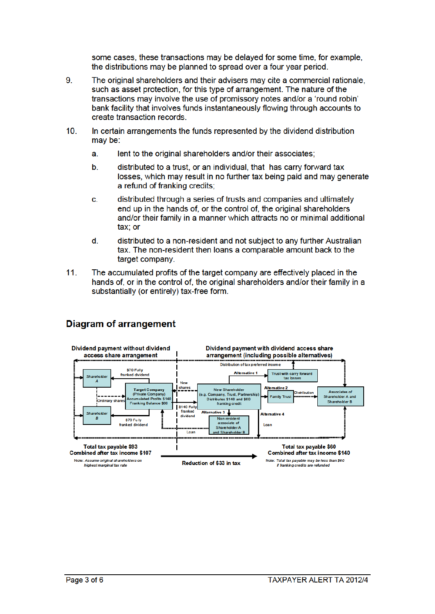some cases, these transactions may be delayed for some time, for example, the distributions may be planned to spread over a four year period.

- 9. The original shareholders and their advisers may cite a commercial rationale. such as asset protection, for this type of arrangement. The nature of the transactions may involve the use of promissory notes and/or a 'round robin' bank facility that involves funds instantaneously flowing through accounts to create transaction records.
- $10.$ In certain arrangements the funds represented by the dividend distribution may be:
	- lent to the original shareholders and/or their associates; a.
	- $\mathbf{b}$ . distributed to a trust, or an individual, that has carry forward tax losses, which may result in no further tax being paid and may generate a refund of franking credits;
	- distributed through a series of trusts and companies and ultimately c. end up in the hands of, or the control of, the original shareholders and/or their family in a manner which attracts no or minimal additional tax: or
	- d. distributed to a non-resident and not subject to any further Australian tax. The non-resident then loans a comparable amount back to the target company.
- $11.$ The accumulated profits of the target company are effectively placed in the hands of, or in the control of, the original shareholders and/or their family in a substantially (or entirely) tax-free form.



### **Diagram of arrangement**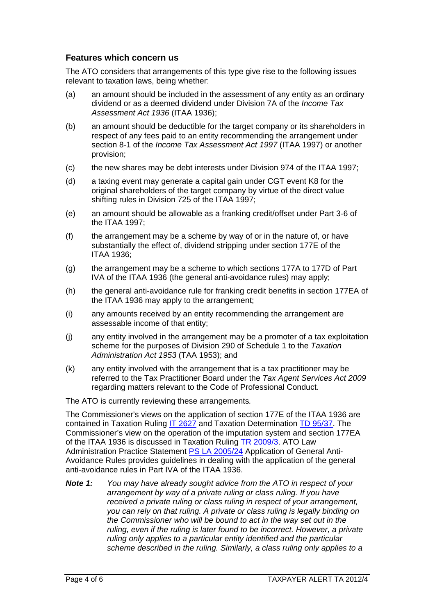#### **Features which concern us**

The ATO considers that arrangements of this type give rise to the following issues relevant to taxation laws, being whether:

- (a) an amount should be included in the assessment of any entity as an ordinary dividend or as a deemed dividend under Division 7A of the *Income Tax Assessment Act 1936* (ITAA 1936);
- (b) an amount should be deductible for the target company or its shareholders in respect of any fees paid to an entity recommending the arrangement under section 8-1 of the *Income Tax Assessment Act 1997* (ITAA 1997) or another provision;
- (c) the new shares may be debt interests under Division 974 of the ITAA 1997;
- (d) a taxing event may generate a capital gain under CGT event K8 for the original shareholders of the target company by virtue of the direct value shifting rules in Division 725 of the ITAA 1997;
- (e) an amount should be allowable as a franking credit/offset under Part 3-6 of the ITAA 1997;
- (f) the arrangement may be a scheme by way of or in the nature of, or have substantially the effect of, dividend stripping under section 177E of the ITAA 1936;
- (g) the arrangement may be a scheme to which sections 177A to 177D of Part IVA of the ITAA 1936 (the general anti-avoidance rules) may apply;
- (h) the general anti-avoidance rule for franking credit benefits in section 177EA of the ITAA 1936 may apply to the arrangement;
- (i) any amounts received by an entity recommending the arrangement are assessable income of that entity;
- (j) any entity involved in the arrangement may be a promoter of a tax exploitation scheme for the purposes of Division 290 of Schedule 1 to the *Taxation Administration Act 1953* (TAA 1953); and
- (k) any entity involved with the arrangement that is a tax practitioner may be referred to the Tax Practitioner Board under the *Tax Agent Services Act 2009*  regarding matters relevant to the Code of Professional Conduct.

The ATO is currently reviewing these arrangements*.* 

The Commissioner's views on the application of section 177E of the ITAA 1936 are contained in Taxation Ruling IT 2627 and Taxation Determination TD 95/37. The Commissioner's view on the operation of the imputation system and section 177EA of the ITAA 1936 is discussed in Taxation Ruling TR 2009/3. ATO Law Administration Practice Statement PS LA 2005/24 Application of General Anti-Avoidance Rules provides guidelines in dealing with the application of the general anti-avoidance rules in Part IVA of the ITAA 1936.

*Note 1: You may have already sought advice from the ATO in respect of your arrangement by way of a private ruling or class ruling. If you have received a private ruling or class ruling in respect of your arrangement, you can rely on that ruling. A private or class ruling is legally binding on the Commissioner who will be bound to act in the way set out in the ruling, even if the ruling is later found to be incorrect. However, a private ruling only applies to a particular entity identified and the particular scheme described in the ruling. Similarly, a class ruling only applies to a*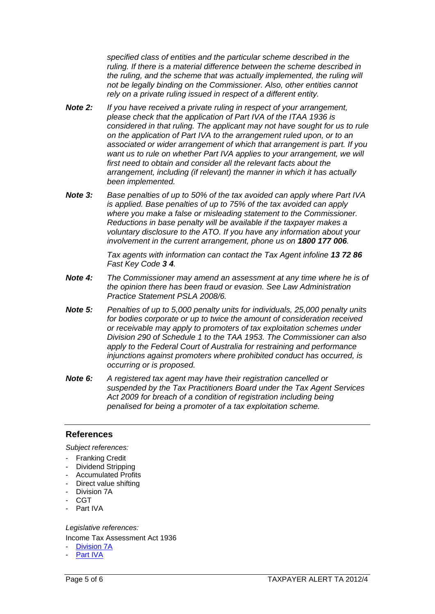*specified class of entities and the particular scheme described in the ruling. If there is a material difference between the scheme described in the ruling, and the scheme that was actually implemented, the ruling will not be legally binding on the Commissioner. Also, other entities cannot rely on a private ruling issued in respect of a different entity.*

- *Note 2: If you have received a private ruling in respect of your arrangement, please check that the application of Part IVA of the ITAA 1936 is considered in that ruling. The applicant may not have sought for us to rule on the application of Part IVA to the arrangement ruled upon, or to an associated or wider arrangement of which that arrangement is part. If you want us to rule on whether Part IVA applies to your arrangement, we will first need to obtain and consider all the relevant facts about the arrangement, including (if relevant) the manner in which it has actually been implemented.*
- *Note 3: Base penalties of up to 50% of the tax avoided can apply where Part IVA is applied. Base penalties of up to 75% of the tax avoided can apply where you make a false or misleading statement to the Commissioner. Reductions in base penalty will be available if the taxpayer makes a voluntary disclosure to the ATO. If you have any information about your involvement in the current arrangement, phone us on 1800 177 006.*

*Tax agents with information can contact the Tax Agent infoline 13 72 86 Fast Key Code 3 4.* 

- *Note 4: The Commissioner may amend an assessment at any time where he is of the opinion there has been fraud or evasion. See Law Administration Practice Statement PSLA 2008/6.*
- *Note 5: Penalties of up to 5,000 penalty units for individuals, 25,000 penalty units for bodies corporate or up to twice the amount of consideration received or receivable may apply to promoters of tax exploitation schemes under Division 290 of Schedule 1 to the TAA 1953. The Commissioner can also apply to the Federal Court of Australia for restraining and performance injunctions against promoters where prohibited conduct has occurred, is occurring or is proposed.*
- *Note 6: A registered tax agent may have their registration cancelled or suspended by the Tax Practitioners Board under the Tax Agent Services Act 2009 for breach of a condition of registration including being penalised for being a promoter of a tax exploitation scheme.*

#### **References**

*Subject references:* 

- **Franking Credit**
- Dividend Stripping
- Accumulated Profits
- Direct value shifting
- Division 7A
- CGT
- Part IVA

*Legislative references:* 

Income Tax Assessment Act 1936

- Division 7A
- Part IVA